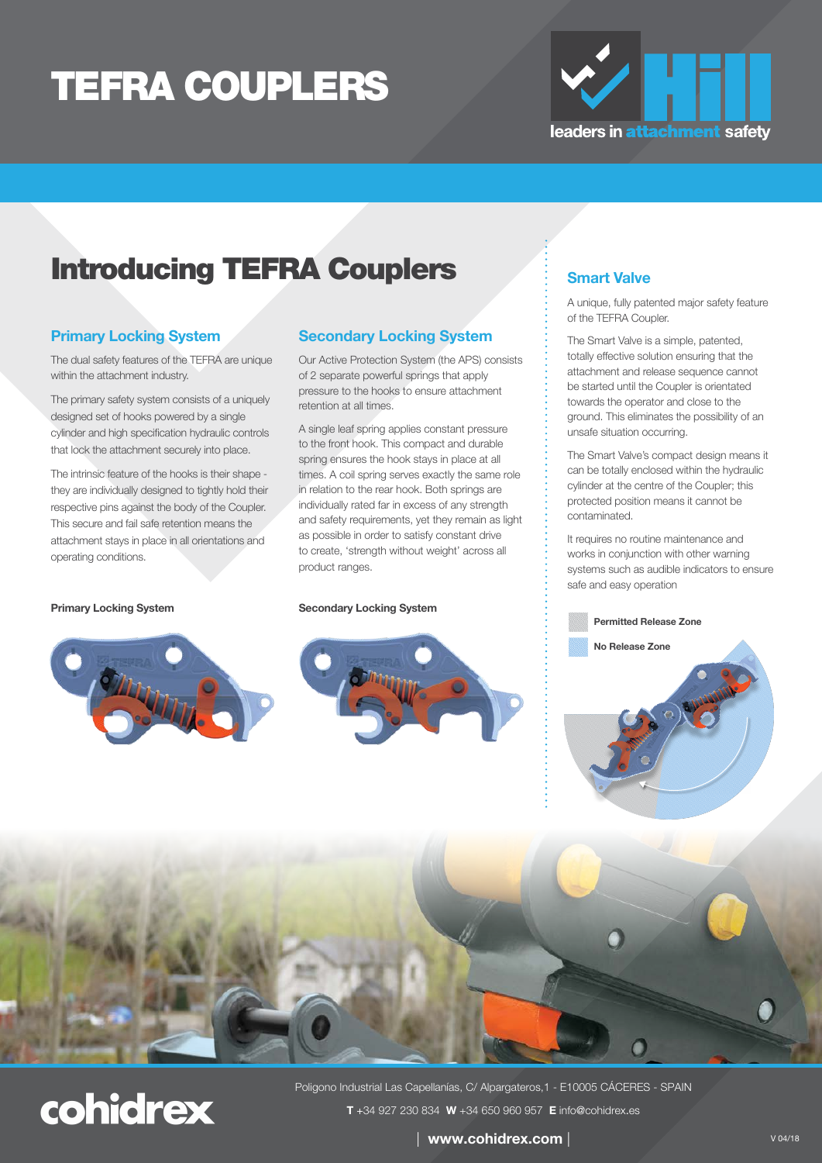# TEFRA COUPLERS



## Introducing TEFRA Couplers

### **Primary Locking System**

The dual safety features of the TEFRA are unique within the attachment industry.

The primary safety system consists of a uniquely designed set of hooks powered by a single cylinder and high specification hydraulic controls that lock the attachment securely into place.

The intrinsic feature of the hooks is their shape they are individually designed to tightly hold their respective pins against the body of the Coupler. This secure and fail safe retention means the attachment stays in place in all orientations and operating conditions.



### **Secondary Locking System**

Our Active Protection System (the APS) consists of 2 separate powerful springs that apply pressure to the hooks to ensure attachment retention at all times.

A single leaf spring applies constant pressure to the front hook. This compact and durable spring ensures the hook stays in place at all times. A coil spring serves exactly the same role in relation to the rear hook. Both springs are individually rated far in excess of any strength and safety requirements, yet they remain as light as possible in order to satisfy constant drive to create, 'strength without weight' across all product ranges.

#### **Primary Locking System Secondary Locking System**



#### **Smart Valve**

A unique, fully patented major safety feature of the TEFRA Coupler.

The Smart Valve is a simple, patented, totally effective solution ensuring that the attachment and release sequence cannot be started until the Coupler is orientated towards the operator and close to the ground. This eliminates the possibility of an unsafe situation occurring.

The Smart Valve's compact design means it can be totally enclosed within the hydraulic cylinder at the centre of the Coupler; this protected position means it cannot be contaminated.

It requires no routine maintenance and works in conjunction with other warning systems such as audible indicators to ensure safe and easy operation







Poligono Industrial Las Capellanías, C/ Alpargateros, 1 - E10005 CÁCERES - SPAIN **T** +34 [927 230 834](Tel:+34927230834) **W** [+34 650](https://wa.me/+34650960957?text=I%20would%20be%20interested%20in%20TEFRA%20quick%20couple) 960 957 **E** info@cohidrex.es

| **www.cohidrex.com** |